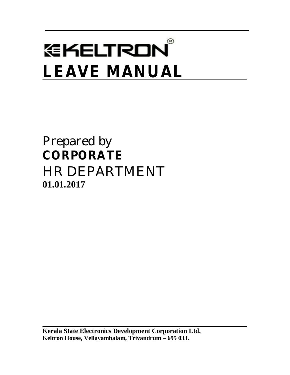# $^{\circledR}$ **GKELTRON LEAVE MANUAL**

Prepared by **CORPORATE** HR DEPARTMENT **01.01.2017**

**Kerala State Electronics Development Corporation Ltd. Keltron House, Vellayambalam, Trivandrum – 695 033.**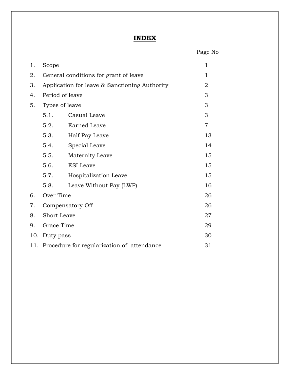# **INDEX**

|     |                                                |                         | Page No        |
|-----|------------------------------------------------|-------------------------|----------------|
| 1.  | Scope                                          |                         | $\mathbf{1}$   |
| 2.  | General conditions for grant of leave          |                         | $\mathbf{1}$   |
| 3.  | Application for leave & Sanctioning Authority  |                         | $\overline{2}$ |
| 4.  | Period of leave                                |                         | 3              |
| 5.  | Types of leave                                 |                         | 3              |
|     | 5.1.                                           | Casual Leave            | 3              |
|     | 5.2.                                           | <b>Earned Leave</b>     | $\overline{7}$ |
|     | 5.3.                                           | Half Pay Leave          | 13             |
|     | 5.4.                                           | Special Leave           | 14             |
|     | 5.5.                                           | Maternity Leave         | 15             |
|     | 5.6.                                           | <b>ESI</b> Leave        | 15             |
|     | 5.7.                                           | Hospitalization Leave   | 15             |
|     | 5.8.                                           | Leave Without Pay (LWP) | 16             |
| 6.  | Over Time                                      |                         | 26             |
| 7.  | Compensatory Off                               |                         | 26             |
| 8.  | Short Leave                                    |                         | 27             |
| 9.  | Grace Time                                     |                         | 29             |
| 10. | Duty pass                                      |                         | 30             |
|     | 11. Procedure for regularization of attendance |                         | 31             |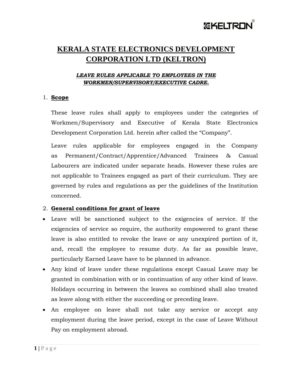# **CEKELTRO**

# **KERALA STATE ELECTRONICS DEVELOPMENT CORPORATION LTD (KELTRON)**

# *LEAVE RULES APPLICABLE TO EMPLOYEES IN THE WORKMEN/SUPERVISORY/EXECUTIVE CADRE.*

# 1. **Scope**

These leave rules shall apply to employees under the categories of Workmen/Supervisory and Executive of Kerala State Electronics Development Corporation Ltd. herein after called the "Company".

Leave rules applicable for employees engaged in the Company as Permanent/Contract/Apprentice/Advanced Trainees & Casual Labourers are indicated under separate heads. However these rules are not applicable to Trainees engaged as part of their curriculum. They are governed by rules and regulations as per the guidelines of the Institution concerned.

# 2. **General conditions for grant of leave**

- Leave will be sanctioned subject to the exigencies of service. If the exigencies of service so require, the authority empowered to grant these leave is also entitled to revoke the leave or any unexpired portion of it, and, recall the employee to resume duty. As far as possible leave, particularly Earned Leave have to be planned in advance.
- Any kind of leave under these regulations except Casual Leave may be granted in combination with or in continuation of any other kind of leave. Holidays occurring in between the leaves so combined shall also treated as leave along with either the succeeding or preceding leave.
- An employee on leave shall not take any service or accept any employment during the leave period, except in the case of Leave Without Pay on employment abroad.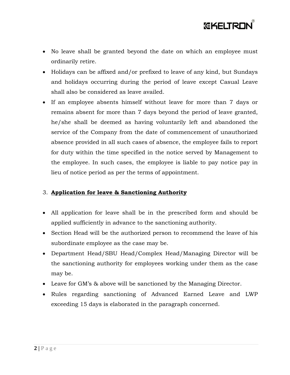

- No leave shall be granted beyond the date on which an employee must ordinarily retire.
- Holidays can be affixed and/or prefixed to leave of any kind, but Sundays and holidays occurring during the period of leave except Casual Leave shall also be considered as leave availed.
- If an employee absents himself without leave for more than 7 days or remains absent for more than 7 days beyond the period of leave granted, he/she shall be deemed as having voluntarily left and abandoned the service of the Company from the date of commencement of unauthorized absence provided in all such cases of absence, the employee fails to report for duty within the time specified in the notice served by Management to the employee. In such cases, the employee is liable to pay notice pay in lieu of notice period as per the terms of appointment.

# 3. **Application for leave & Sanctioning Authority**

- All application for leave shall be in the prescribed form and should be applied sufficiently in advance to the sanctioning authority.
- Section Head will be the authorized person to recommend the leave of his subordinate employee as the case may be.
- Department Head/SBU Head/Complex Head/Managing Director will be the sanctioning authority for employees working under them as the case may be.
- Leave for GM"s & above will be sanctioned by the Managing Director.
- Rules regarding sanctioning of Advanced Earned Leave and LWP exceeding 15 days is elaborated in the paragraph concerned.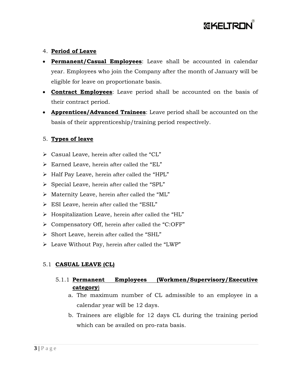

### 4. **Period of Leave**

- **Permanent/Casual Employees**: Leave shall be accounted in calendar year. Employees who join the Company after the month of January will be eligible for leave on proportionate basis.
- **Contract Employees**: Leave period shall be accounted on the basis of their contract period.
- **Apprentices/Advanced Trainees**: Leave period shall be accounted on the basis of their apprenticeship/training period respectively.

# 5. **Types of leave**

- $\triangleright$  Casual Leave, herein after called the "CL"
- $\triangleright$  Earned Leave, herein after called the "EL"
- > Half Pay Leave, herein after called the "HPL"
- Special Leave, herein after called the "SPL"
- $\triangleright$  Maternity Leave, herein after called the "ML"
- ESI Leave, herein after called the "ESIL"
- $\triangleright$  Hospitalization Leave, herein after called the "HL"
- Compensatory Off, herein after called the "C:OFF"
- Short Leave, herein after called the "SHL"
- $\triangleright$  Leave Without Pay, herein after called the "LWP"

# 5.1 **CASUAL LEAVE (CL)**

- 5.1.1 **Permanent Employees (Workmen/Supervisory/Executive category**)
	- a. The maximum number of CL admissible to an employee in a calendar year will be 12 days.
	- b. Trainees are eligible for 12 days CL during the training period which can be availed on pro-rata basis.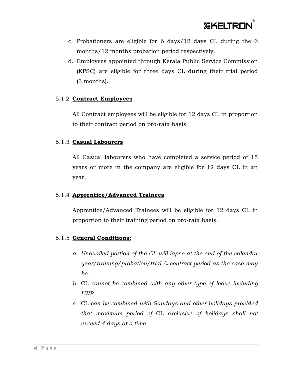

- c. Probationers are eligible for 6 days/12 days CL during the 6 months/12 months probation period respectively.
- d. Employees appointed through Kerala Public Service Commission (KPSC) are eligible for three days CL during their trial period (3 months).

#### 5.1.2 **Contract Employees**

All Contract employees will be eligible for 12 days CL in proportion to their contract period on pro-rata basis.

#### 5.1.3 **Casual Labourers**

All Casual labourers who have completed a service period of 15 years or more in the company are eligible for 12 days CL in an year.

# 5.1.4 **Apprentice/Advanced Trainees**

Apprentice/Advanced Trainees will be eligible for 12 days CL in proportion to their training period on pro-rata basis.

# 5.1.5 **General Conditions:**

- *a. Unavailed portion of the CL will lapse at the end of the calendar year/training/probation/trial & contract period as the case may be.*
- *b.* CL *cannot be combined with any other type of leave including LWP.*
- *c.* CL *can be combined with Sundays and other holidays provided that maximum period of* CL *exclusive of holidays shall not exceed 4 days at a time*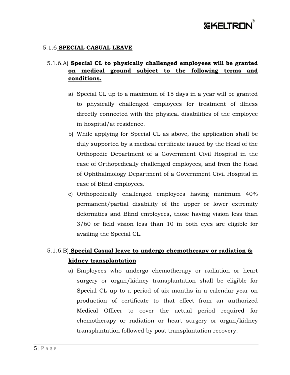

#### 5.1.6 **SPECIAL CASUAL LEAVE**

# 5.1.6.A) **Special CL to physically challenged employees will be granted on medical ground subject to the following terms and conditions.**

- a) Special CL up to a maximum of 15 days in a year will be granted to physically challenged employees for treatment of illness directly connected with the physical disabilities of the employee in hospital/at residence.
- b) While applying for Special CL as above, the application shall be duly supported by a medical certificate issued by the Head of the Orthopedic Department of a Government Civil Hospital in the case of Orthopedically challenged employees, and from the Head of Ophthalmology Department of a Government Civil Hospital in case of Blind employees.
- c) Orthopedically challenged employees having minimum 40% permanent/partial disability of the upper or lower extremity deformities and Blind employees, those having vision less than 3/60 or field vision less than 10 in both eyes are eligible for availing the Special CL.

# 5.1.6.B) **Special Casual leave to undergo chemotherapy or radiation & kidney transplantation**

a) Employees who undergo chemotherapy or radiation or heart surgery or organ/kidney transplantation shall be eligible for Special CL up to a period of six months in a calendar year on production of certificate to that effect from an authorized Medical Officer to cover the actual period required for chemotherapy or radiation or heart surgery or organ/kidney transplantation followed by post transplantation recovery.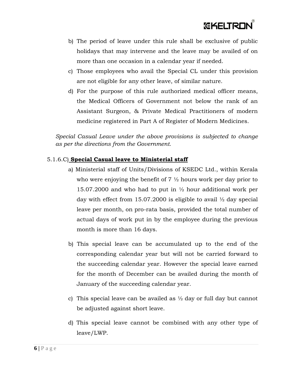

- b) The period of leave under this rule shall be exclusive of public holidays that may intervene and the leave may be availed of on more than one occasion in a calendar year if needed.
- c) Those employees who avail the Special CL under this provision are not eligible for any other leave, of similar nature.
- d) For the purpose of this rule authorized medical officer means, the Medical Officers of Government not below the rank of an Assistant Surgeon, & Private Medical Practitioners of modern medicine registered in Part A of Register of Modern Medicines.

*Special Casual Leave under the above provisions is subjected to change as per the directions from the Government.*

# 5.1.6.C) **Special Casual leave to Ministerial staff**

- a) Ministerial staff of Units/Divisions of KSEDC Ltd., within Kerala who were enjoying the benefit of  $7 \frac{1}{2}$  hours work per day prior to 15.07.2000 and who had to put in  $\frac{1}{2}$  hour additional work per day with effect from 15.07.2000 is eligible to avail  $\frac{1}{2}$  day special leave per month, on pro-rata basis, provided the total number of actual days of work put in by the employee during the previous month is more than 16 days.
- b) This special leave can be accumulated up to the end of the corresponding calendar year but will not be carried forward to the succeeding calendar year. However the special leave earned for the month of December can be availed during the month of January of the succeeding calendar year.
- c) This special leave can be availed as  $\frac{1}{2}$  day or full day but cannot be adjusted against short leave.
- d) This special leave cannot be combined with any other type of leave/LWP.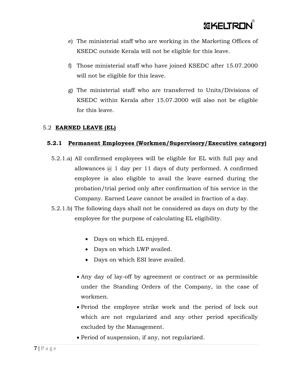

- e) The ministerial staff who are working in the Marketing Offices of KSEDC outside Kerala will not be eligible for this leave.
- f) Those ministerial staff who have joined KSEDC after 15.07.2000 will not be eligible for this leave.
- g) The ministerial staff who are transferred to Units/Divisions of KSEDC within Kerala after 15.07.2000 will also not be eligible for this leave.

#### 5.2 **EARNED LEAVE (EL)**

#### **5.2.1 Permanent Employees (Workmen/Supervisory/Executive category)**

- 5.2.1.a) All confirmed employees will be eligible for EL with full pay and allowances  $\omega$  1 day per 11 days of duty performed. A confirmed employee is also eligible to avail the leave earned during the probation/trial period only after confirmation of his service in the Company. Earned Leave cannot be availed in fraction of a day.
- 5.2.1.b) The following days shall not be considered as days on duty by the employee for the purpose of calculating EL eligibility.
	- Days on which EL enjoyed.
	- Days on which LWP availed.
	- Days on which ESI leave availed.
	- Any day of lay-off by agreement or contract or as permissible under the Standing Orders of the Company, in the case of workmen.
	- Period the employee strike work and the period of lock out which are not regularized and any other period specifically excluded by the Management.
	- Period of suspension, if any, not regularized.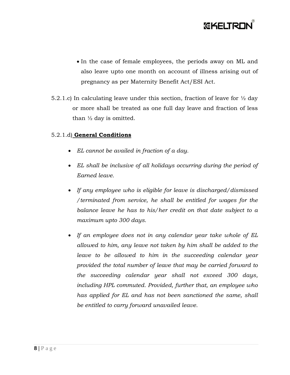

- In the case of female employees, the periods away on ML and also leave upto one month on account of illness arising out of pregnancy as per Maternity Benefit Act/ESI Act.
- 5.2.1.c) In calculating leave under this section, fraction of leave for  $\frac{1}{2}$  day or more shall be treated as one full day leave and fraction of less than  $\frac{1}{2}$  day is omitted.

# 5.2.1.d) **General Conditions**

- *EL cannot be availed in fraction of a day.*
- *EL shall be inclusive of all holidays occurring during the period of Earned leave.*
- *If any employee who is eligible for leave is discharged/dismissed /terminated from service, he shall be entitled for wages for the balance leave he has to his/her credit on that date subject to a maximum upto 300 days.*
- *If an employee does not in any calendar year take whole of EL allowed to him, any leave not taken by him shall be added to the*  leave to be allowed to him in the succeeding calendar year *provided the total number of leave that may be carried forward to the succeeding calendar year shall not exceed 300 days, including HPL commuted. Provided, further that, an employee who has applied for EL and has not been sanctioned the same, shall be entitled to carry forward unavailed leave.*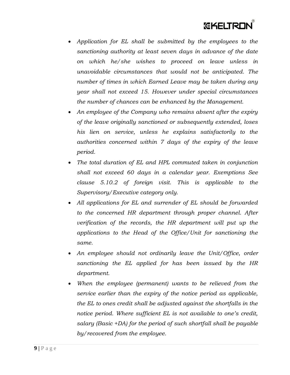# *<b>EKELTRON*

- *Application for EL shall be submitted by the employees to the sanctioning authority at least seven days in advance of the date on which he/she wishes to proceed on leave unless in unavoidable circumstances that would not be anticipated. The number of times in which Earned Leave may be taken during any year shall not exceed 15. However under special circumstances the number of chances can be enhanced by the Management.*
- *An employee of the Company who remains absent after the expiry of the leave originally sanctioned or subsequently extended, loses his lien on service, unless he explains satisfactorily to the authorities concerned within 7 days of the expiry of the leave period.*
- *The total duration of EL and HPL commuted taken in conjunction shall not exceed 60 days in a calendar year. Exemptions See clause 5.10.2 of foreign visit. This is applicable to the Supervisory/Executive category only.*
- *All applications for EL and surrender of EL should be forwarded to the concerned HR department through proper channel. After verification of the records, the HR department will put up the applications to the Head of the Office/Unit for sanctioning the same.*
- *An employee should not ordinarily leave the Unit/Office, order sanctioning the EL applied for has been issued by the HR department.*
- *When the employee (permanent) wants to be relieved from the service earlier than the expiry of the notice period as applicable, the EL to ones credit shall be adjusted against the shortfalls in the notice period. Where sufficient EL is not available to one's credit, salary (Basic +DA) for the period of such shortfall shall be payable by/recovered from the employee.*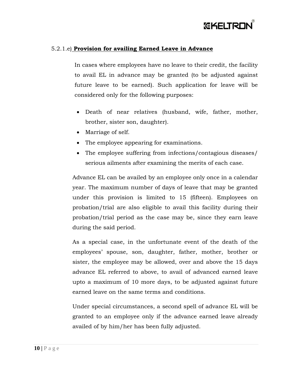

### 5.2.1.e) **Provision for availing Earned Leave in Advance**

In cases where employees have no leave to their credit, the facility to avail EL in advance may be granted (to be adjusted against future leave to be earned). Such application for leave will be considered only for the following purposes:

- Death of near relatives (husband, wife, father, mother, brother, sister son, daughter).
- Marriage of self.
- The employee appearing for examinations.
- The employee suffering from infections/contagious diseases/ serious ailments after examining the merits of each case.

Advance EL can be availed by an employee only once in a calendar year. The maximum number of days of leave that may be granted under this provision is limited to 15 (fifteen). Employees on probation/trial are also eligible to avail this facility during their probation/trial period as the case may be, since they earn leave during the said period.

As a special case, in the unfortunate event of the death of the employees" spouse, son, daughter, father, mother, brother or sister, the employee may be allowed, over and above the 15 days advance EL referred to above, to avail of advanced earned leave upto a maximum of 10 more days, to be adjusted against future earned leave on the same terms and conditions.

Under special circumstances, a second spell of advance EL will be granted to an employee only if the advance earned leave already availed of by him/her has been fully adjusted.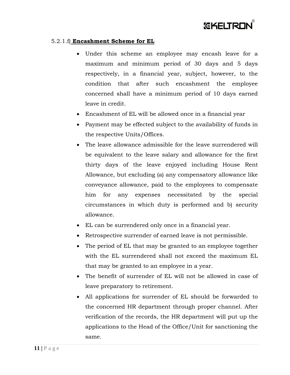

#### 5.2.1.f) **Encashment Scheme for EL**

- Under this scheme an employee may encash leave for a maximum and minimum period of 30 days and 5 days respectively, in a financial year, subject, however, to the condition that after such encashment the employee concerned shall have a minimum period of 10 days earned leave in credit.
- Encashment of EL will be allowed once in a financial year
- Payment may be effected subject to the availability of funds in the respective Units/Offices.
- The leave allowance admissible for the leave surrendered will be equivalent to the leave salary and allowance for the first thirty days of the leave enjoyed including House Rent Allowance, but excluding (a) any compensatory allowance like conveyance allowance, paid to the employees to compensate him for any expenses necessitated by the special circumstances in which duty is performed and b) security allowance.
- EL can be surrendered only once in a financial year.
- Retrospective surrender of earned leave is not permissible.
- The period of EL that may be granted to an employee together with the EL surrendered shall not exceed the maximum EL that may be granted to an employee in a year.
- The benefit of surrender of EL will not be allowed in case of leave preparatory to retirement.
- All applications for surrender of EL should be forwarded to the concerned HR department through proper channel. After verification of the records, the HR department will put up the applications to the Head of the Office/Unit for sanctioning the same.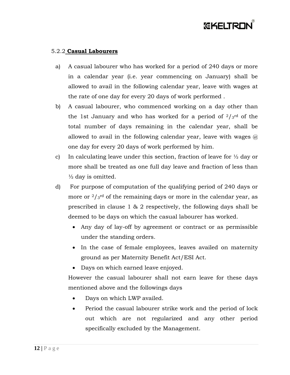# **GKELTRO**

# 5.2.2 **Casual Labourers**

- a) A casual labourer who has worked for a period of 240 days or more in a calendar year (i.e. year commencing on January) shall be allowed to avail in the following calendar year, leave with wages at the rate of one day for every 20 days of work performed .
- b) A casual labourer, who commenced working on a day other than the 1st January and who has worked for a period of  $2/g^{rd}$  of the total number of days remaining in the calendar year, shall be allowed to avail in the following calendar year, leave with wages  $\omega$ one day for every 20 days of work performed by him.
- c) In calculating leave under this section, fraction of leave for  $\frac{1}{2}$  day or more shall be treated as one full day leave and fraction of less than  $\frac{1}{2}$  day is omitted.
- d) For purpose of computation of the qualifying period of 240 days or more or  $\frac{2}{3}$ <sup>rd</sup> of the remaining days or more in the calendar year, as prescribed in clause 1 & 2 respectively, the following days shall be deemed to be days on which the casual labourer has worked.
	- Any day of lay-off by agreement or contract or as permissible under the standing orders.
	- In the case of female employees, leaves availed on maternity ground as per Maternity Benefit Act/ESI Act.
	- Days on which earned leave enjoyed.

However the casual labourer shall not earn leave for these days mentioned above and the followings days

- Days on which LWP availed.
- Period the casual labourer strike work and the period of lock out which are not regularized and any other period specifically excluded by the Management.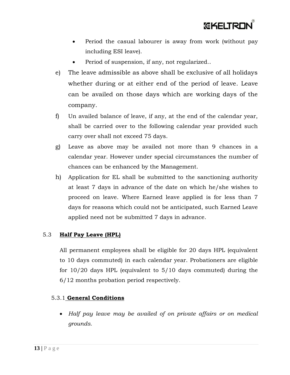

- Period the casual labourer is away from work (without pay including ESI leave).
- Period of suspension, if any, not regularized..
- e) The leave admissible as above shall be exclusive of all holidays whether during or at either end of the period of leave. Leave can be availed on those days which are working days of the company.
- f) Un availed balance of leave, if any, at the end of the calendar year, shall be carried over to the following calendar year provided such carry over shall not exceed 75 days.
- g) Leave as above may be availed not more than 9 chances in a calendar year. However under special circumstances the number of chances can be enhanced by the Management.
- h) Application for EL shall be submitted to the sanctioning authority at least 7 days in advance of the date on which he/she wishes to proceed on leave. Where Earned leave applied is for less than 7 days for reasons which could not be anticipated, such Earned Leave applied need not be submitted 7 days in advance.

# 5.3 **Half Pay Leave (HPL)**

All permanent employees shall be eligible for 20 days HPL (equivalent to 10 days commuted) in each calendar year. Probationers are eligible for 10/20 days HPL (equivalent to 5/10 days commuted) during the 6/12 months probation period respectively.

# 5.3.1 **General Conditions**

 *Half pay leave may be availed of on private affairs or on medical grounds.*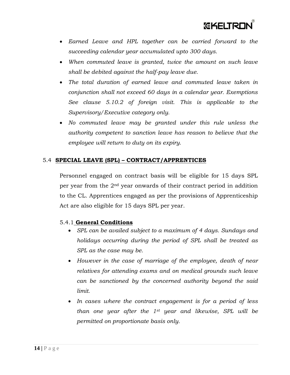

- *Earned Leave and HPL together can be carried forward to the succeeding calendar year accumulated upto 300 days.*
- *When commuted leave is granted, twice the amount on such leave shall be debited against the half-pay leave due.*
- *The total duration of earned leave and commuted leave taken in conjunction shall not exceed 60 days in a calendar year. Exemptions See clause 5.10.2 of foreign visit. This is applicable to the Supervisory/Executive category only.*
- *No commuted leave may be granted under this rule unless the authority competent to sanction leave has reason to believe that the employee will return to duty on its expiry.*

#### 5.4 **SPECIAL LEAVE (SPL) – CONTRACT/APPRENTICES**

Personnel engaged on contract basis will be eligible for 15 days SPL per year from the 2nd year onwards of their contract period in addition to the CL. Apprentices engaged as per the provisions of Apprenticeship Act are also eligible for 15 days SPL per year.

#### 5.4.1 **General Conditions**

- *SPL can be availed subject to a maximum of 4 days. Sundays and holidays occurring during the period of SPL shall be treated as SPL as the case may be.*
- *However in the case of marriage of the employee, death of near relatives for attending exams and on medical grounds such leave can be sanctioned by the concerned authority beyond the said limit.*
- *In cases where the contract engagement is for a period of less than one year after the 1st year and likewise, SPL will be permitted on proportionate basis only.*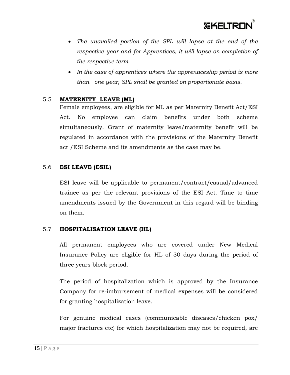

- The unavailed portion of the SPL will lapse at the end of the *respective year and for Apprentices, it will lapse on completion of the respective term.*
- *In the case of apprentices where the apprenticeship period is more than one year, SPL shall be granted on proportionate basis.*

# 5.5 **MATERNITY LEAVE (ML)**

Female employees, are eligible for ML as per Maternity Benefit Act/ESI Act. No employee can claim benefits under both scheme simultaneously. Grant of maternity leave/maternity benefit will be regulated in accordance with the provisions of the Maternity Benefit act /ESI Scheme and its amendments as the case may be.

# 5.6 **ESI LEAVE (ESIL)**

ESI leave will be applicable to permanent/contract/casual/advanced trainee as per the relevant provisions of the ESI Act. Time to time amendments issued by the Government in this regard will be binding on them.

# 5.7 **HOSPITALISATION LEAVE (HL)**

All permanent employees who are covered under New Medical Insurance Policy are eligible for HL of 30 days during the period of three years block period.

The period of hospitalization which is approved by the Insurance Company for re-imbursement of medical expenses will be considered for granting hospitalization leave.

For genuine medical cases (communicable diseases/chicken pox/ major fractures etc) for which hospitalization may not be required, are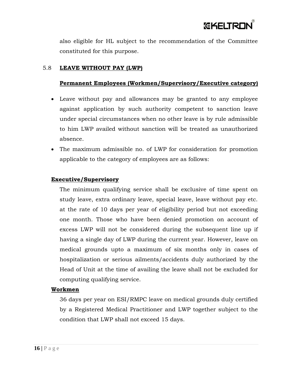

also eligible for HL subject to the recommendation of the Committee constituted for this purpose.

### 5.8 **LEAVE WITHOUT PAY (LWP)**

# **Permanent Employees (Workmen/Supervisory/Executive category)**

- Leave without pay and allowances may be granted to any employee against application by such authority competent to sanction leave under special circumstances when no other leave is by rule admissible to him LWP availed without sanction will be treated as unauthorized absence.
- The maximum admissible no. of LWP for consideration for promotion applicable to the category of employees are as follows:

#### **Executive/Supervisory**

The minimum qualifying service shall be exclusive of time spent on study leave, extra ordinary leave, special leave, leave without pay etc. at the rate of 10 days per year of eligibility period but not exceeding one month. Those who have been denied promotion on account of excess LWP will not be considered during the subsequent line up if having a single day of LWP during the current year. However, leave on medical grounds upto a maximum of six months only in cases of hospitalization or serious ailments/accidents duly authorized by the Head of Unit at the time of availing the leave shall not be excluded for computing qualifying service.

#### **Workmen**

36 days per year on ESI/RMPC leave on medical grounds duly certified by a Registered Medical Practitioner and LWP together subject to the condition that LWP shall not exceed 15 days.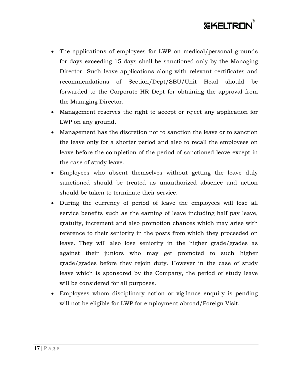

- The applications of employees for LWP on medical/personal grounds for days exceeding 15 days shall be sanctioned only by the Managing Director. Such leave applications along with relevant certificates and recommendations of Section/Dept/SBU/Unit Head should be forwarded to the Corporate HR Dept for obtaining the approval from the Managing Director.
- Management reserves the right to accept or reject any application for LWP on any ground.
- Management has the discretion not to sanction the leave or to sanction the leave only for a shorter period and also to recall the employees on leave before the completion of the period of sanctioned leave except in the case of study leave.
- Employees who absent themselves without getting the leave duly sanctioned should be treated as unauthorized absence and action should be taken to terminate their service.
- During the currency of period of leave the employees will lose all service benefits such as the earning of leave including half pay leave, gratuity, increment and also promotion chances which may arise with reference to their seniority in the posts from which they proceeded on leave. They will also lose seniority in the higher grade/grades as against their juniors who may get promoted to such higher grade/grades before they rejoin duty. However in the case of study leave which is sponsored by the Company, the period of study leave will be considered for all purposes.
- Employees whom disciplinary action or vigilance enquiry is pending will not be eligible for LWP for employment abroad/Foreign Visit.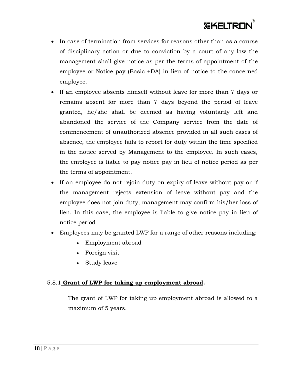# *<b><i>EKELTRON*

- In case of termination from services for reasons other than as a course of disciplinary action or due to conviction by a court of any law the management shall give notice as per the terms of appointment of the employee or Notice pay (Basic +DA) in lieu of notice to the concerned employee.
- If an employee absents himself without leave for more than 7 days or remains absent for more than 7 days beyond the period of leave granted, he/she shall be deemed as having voluntarily left and abandoned the service of the Company service from the date of commencement of unauthorized absence provided in all such cases of absence, the employee fails to report for duty within the time specified in the notice served by Management to the employee. In such cases, the employee is liable to pay notice pay in lieu of notice period as per the terms of appointment.
- If an employee do not rejoin duty on expiry of leave without pay or if the management rejects extension of leave without pay and the employee does not join duty, management may confirm his/her loss of lien. In this case, the employee is liable to give notice pay in lieu of notice period
- Employees may be granted LWP for a range of other reasons including:
	- Employment abroad
	- Foreign visit
	- Study leave

# 5.8.1 **Grant of LWP for taking up employment abroad.**

The grant of LWP for taking up employment abroad is allowed to a maximum of 5 years.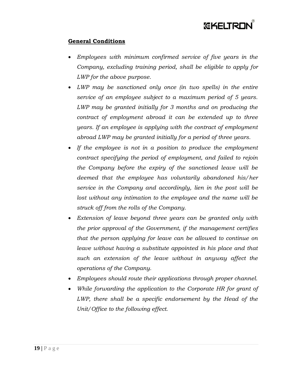

# **General Conditions**

- *Employees with minimum confirmed service of five years in the Company, excluding training period, shall be eligible to apply for LWP for the above purpose.*
- *LWP may be sanctioned only once (in two spells) in the entire service of an employee subject to a maximum period of 5 years. LWP may be granted initially for 3 months and on producing the contract of employment abroad it can be extended up to three years. If an employee is applying with the contract of employment abroad LWP may be granted initially for a period of three years.*
- *If the employee is not in a position to produce the employment contract specifying the period of employment, and failed to rejoin the Company before the expiry of the sanctioned leave will be deemed that the employee has voluntarily abandoned his/her service in the Company and accordingly, lien in the post will be lost without any intimation to the employee and the name will be struck off from the rolls of the Company.*
- *Extension of leave beyond three years can be granted only with the prior approval of the Government, if the management certifies that the person applying for leave can be allowed to continue on*  leave without having a substitute appointed in his place and that *such an extension of the leave without in anyway affect the operations of the Company.*
- *Employees should route their applications through proper channel.*
- *While forwarding the application to the Corporate HR for grant of LWP, there shall be a specific endorsement by the Head of the Unit/Office to the following effect.*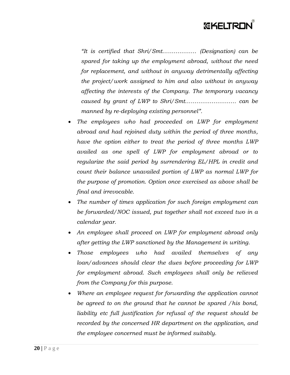# *EKELTRO*

*"It is certified that Shri/Smt……………… (Designation) can be spared for taking up the employment abroad, without the need for replacement, and without in anyway detrimentally affecting the project/work assigned to him and also without in anyway affecting the interests of the Company. The temporary vacancy caused by grant of LWP to Shri/Smt……………………… can be manned by re-deploying existing personnel".*

- *The employees who had proceeded on LWP for employment abroad and had rejoined duty within the period of three months, have the option either to treat the period of three months LWP availed as one spell of LWP for employment abroad or to regularize the said period by surrendering EL/HPL in credit and count their balance unavailed portion of LWP as normal LWP for the purpose of promotion. Option once exercised as above shall be final and irrevocable.*
- *The number of times application for such foreign employment can be forwarded/NOC issued, put together shall not exceed two in a calendar year.*
- *An employee shall proceed on LWP for employment abroad only after getting the LWP sanctioned by the Management in writing.*
- *Those employees who had availed themselves of any loan/advances should clear the dues before proceeding for LWP for employment abroad. Such employees shall only be relieved from the Company for this purpose.*
- *Where an employee request for forwarding the application cannot be agreed to on the ground that he cannot be spared /his bond, liability etc full justification for refusal of the request should be recorded by the concerned HR department on the application, and the employee concerned must be informed suitably.*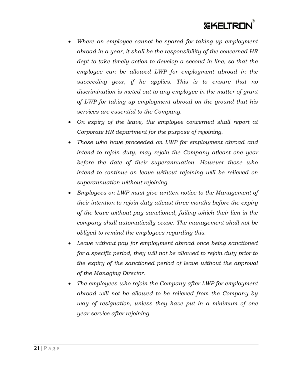# *<b>GKELTRON*

- *Where an employee cannot be spared for taking up employment abroad in a year, it shall be the responsibility of the concerned HR dept to take timely action to develop a second in line, so that the employee can be allowed LWP for employment abroad in the succeeding year, if he applies. This is to ensure that no discrimination is meted out to any employee in the matter of grant of LWP for taking up employment abroad on the ground that his services are essential to the Company.*
- *On expiry of the leave, the employee concerned shall report at Corporate HR department for the purpose of rejoining.*
- *Those who have proceeded on LWP for employment abroad and intend to rejoin duty, may rejoin the Company atleast one year before the date of their superannuation. However those who intend to continue on leave without rejoining will be relieved on superannuation without rejoining.*
- *Employees on LWP must give written notice to the Management of their intention to rejoin duty atleast three months before the expiry of the leave without pay sanctioned, failing which their lien in the company shall automatically cease. The management shall not be obliged to remind the employees regarding this.*
- *Leave without pay for employment abroad once being sanctioned for a specific period, they will not be allowed to rejoin duty prior to the expiry of the sanctioned period of leave without the approval of the Managing Director.*
- *The employees who rejoin the Company after LWP for employment abroad will not be allowed to be relieved from the Company by way of resignation, unless they have put in a minimum of one year service after rejoining.*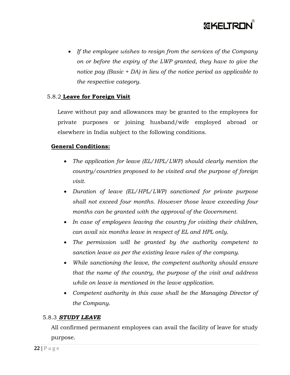

 *If the employee wishes to resign from the services of the Company on or before the expiry of the LWP granted, they have to give the notice pay (Basic + DA) in lieu of the notice period as applicable to the respective category.*

# 5.8.2 **Leave for Foreign Visit**

Leave without pay and allowances may be granted to the employees for private purposes or joining husband/wife employed abroad or elsewhere in India subject to the following conditions.

#### **General Conditions:**

- *The application for leave (EL/HPL/LWP) should clearly mention the country/countries proposed to be visited and the purpose of foreign visit.*
- *Duration of leave (EL/HPL/LWP) sanctioned for private purpose shall not exceed four months. However those leave exceeding four months can be granted with the approval of the Government.*
- *In case of employees leaving the country for visiting their children, can avail six months leave in respect of EL and HPL only.*
- *The permission will be granted by the authority competent to sanction leave as per the existing leave rules of the company.*
- *While sanctioning the leave, the competent authority should ensure that the name of the country, the purpose of the visit and address while on leave is mentioned in the leave application.*
- *Competent authority in this case shall be the Managing Director of the Company.*

# 5.8.3 *STUDY LEAVE*

All confirmed permanent employees can avail the facility of leave for study purpose.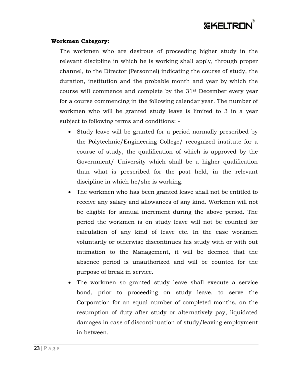

#### **Workmen Category:**

The workmen who are desirous of proceeding higher study in the relevant discipline in which he is working shall apply, through proper channel, to the Director (Personnel) indicating the course of study, the duration, institution and the probable month and year by which the course will commence and complete by the 31st December every year for a course commencing in the following calendar year. The number of workmen who will be granted study leave is limited to 3 in a year subject to following terms and conditions: -

- Study leave will be granted for a period normally prescribed by the Polytechnic/Engineering College/ recognized institute for a course of study, the qualification of which is approved by the Government/ University which shall be a higher qualification than what is prescribed for the post held, in the relevant discipline in which he/she is working.
- The workmen who has been granted leave shall not be entitled to receive any salary and allowances of any kind. Workmen will not be eligible for annual increment during the above period. The period the workmen is on study leave will not be counted for calculation of any kind of leave etc. In the case workmen voluntarily or otherwise discontinues his study with or with out intimation to the Management, it will be deemed that the absence period is unauthorized and will be counted for the purpose of break in service.
- The workmen so granted study leave shall execute a service bond, prior to proceeding on study leave, to serve the Corporation for an equal number of completed months, on the resumption of duty after study or alternatively pay, liquidated damages in case of discontinuation of study/leaving employment in between.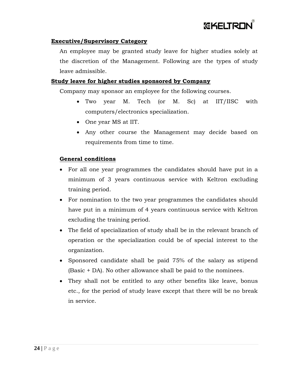

# **Executive/Supervisory Category**

An employee may be granted study leave for higher studies solely at the discretion of the Management. Following are the types of study leave admissible.

#### **Study leave for higher studies sponsored by Company**

Company may sponsor an employee for the following courses.

- Two year M. Tech (or M. Sc) at IIT/IISC with computers/electronics specialization.
- One year MS at IIT.
- Any other course the Management may decide based on requirements from time to time.

#### **General conditions**

- For all one year programmes the candidates should have put in a minimum of 3 years continuous service with Keltron excluding training period.
- For nomination to the two year programmes the candidates should have put in a minimum of 4 years continuous service with Keltron excluding the training period.
- The field of specialization of study shall be in the relevant branch of operation or the specialization could be of special interest to the organization.
- Sponsored candidate shall be paid 75% of the salary as stipend (Basic + DA). No other allowance shall be paid to the nominees.
- They shall not be entitled to any other benefits like leave, bonus etc., for the period of study leave except that there will be no break in service.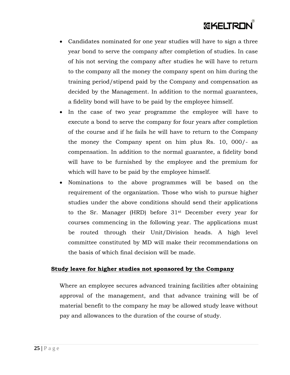# *EKELTRON*

- Candidates nominated for one year studies will have to sign a three year bond to serve the company after completion of studies. In case of his not serving the company after studies he will have to return to the company all the money the company spent on him during the training period/stipend paid by the Company and compensation as decided by the Management. In addition to the normal guarantees, a fidelity bond will have to be paid by the employee himself.
- In the case of two year programme the employee will have to execute a bond to serve the company for four years after completion of the course and if he fails he will have to return to the Company the money the Company spent on him plus Rs. 10, 000/- as compensation. In addition to the normal guarantee, a fidelity bond will have to be furnished by the employee and the premium for which will have to be paid by the employee himself.
- Nominations to the above programmes will be based on the requirement of the organization. Those who wish to pursue higher studies under the above conditions should send their applications to the Sr. Manager (HRD) before 31st December every year for courses commencing in the following year. The applications must be routed through their Unit/Division heads. A high level committee constituted by MD will make their recommendations on the basis of which final decision will be made.

# **Study leave for higher studies not sponsored by the Company**

Where an employee secures advanced training facilities after obtaining approval of the management, and that advance training will be of material benefit to the company he may be allowed study leave without pay and allowances to the duration of the course of study.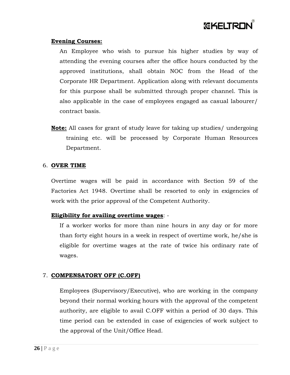

#### **Evening Courses:**

An Employee who wish to pursue his higher studies by way of attending the evening courses after the office hours conducted by the approved institutions, shall obtain NOC from the Head of the Corporate HR Department. Application along with relevant documents for this purpose shall be submitted through proper channel. This is also applicable in the case of employees engaged as casual labourer/ contract basis.

**Note:** All cases for grant of study leave for taking up studies/ undergoing training etc. will be processed by Corporate Human Resources Department.

#### 6. **OVER TIME**

Overtime wages will be paid in accordance with Section 59 of the Factories Act 1948. Overtime shall be resorted to only in exigencies of work with the prior approval of the Competent Authority.

# **Eligibility for availing overtime wages**: -

If a worker works for more than nine hours in any day or for more than forty eight hours in a week in respect of overtime work, he/she is eligible for overtime wages at the rate of twice his ordinary rate of wages.

# 7. **COMPENSATORY OFF (C.OFF)**

Employees (Supervisory/Executive), who are working in the company beyond their normal working hours with the approval of the competent authority, are eligible to avail C.OFF within a period of 30 days. This time period can be extended in case of exigencies of work subject to the approval of the Unit/Office Head.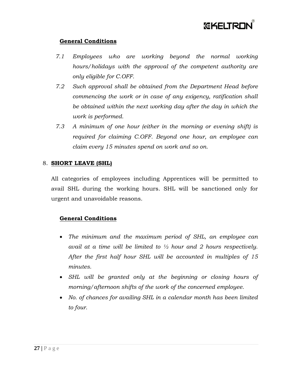

# **General Conditions**

- *7.1 Employees who are working beyond the normal working hours/holidays with the approval of the competent authority are only eligible for C.OFF.*
- *7.2 Such approval shall be obtained from the Department Head before commencing the work or in case of any exigency, ratification shall be obtained within the next working day after the day in which the work is performed.*
- *7.3 A minimum of one hour (either in the morning or evening shift) is required for claiming C.OFF. Beyond one hour, an employee can claim every 15 minutes spend on work and so on.*

# 8. **SHORT LEAVE (SHL)**

All categories of employees including Apprentices will be permitted to avail SHL during the working hours. SHL will be sanctioned only for urgent and unavoidable reasons.

# **General Conditions**

- *The minimum and the maximum period of SHL, an employee can avail at a time will be limited to ½ hour and 2 hours respectively. After the first half hour SHL will be accounted in multiples of 15 minutes.*
- *SHL will be granted only at the beginning or closing hours of morning/afternoon shifts of the work of the concerned employee.*
- *No. of chances for availing SHL in a calendar month has been limited to four.*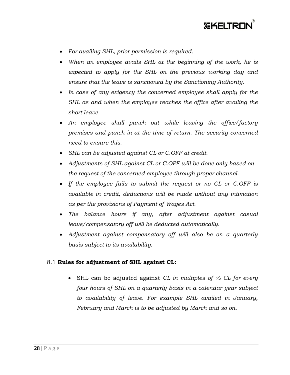

- *For availing SHL, prior permission is required.*
- *When an employee avails SHL at the beginning of the work, he is expected to apply for the SHL on the previous working day and ensure that the leave is sanctioned by the Sanctioning Authority.*
- *In case of any exigency the concerned employee shall apply for the SHL as and when the employee reaches the office after availing the short leave.*
- *An employee shall punch out while leaving the office/factory premises and punch in at the time of return. The security concerned need to ensure this.*
- *SHL can be adjusted against CL or C.OFF at credit.*
- *Adjustments of SHL against CL or C.OFF will be done only based on the request of the concerned employee through proper channel.*
- *If the employee fails to submit the request or no CL or C.OFF is available in credit, deductions will be made without any intimation as per the provisions of Payment of Wages Act.*
- *The balance hours if any, after adjustment against casual leave/compensatory off will be deducted automatically.*
- *Adjustment against compensatory off will also be on a quarterly basis subject to its availability.*

#### 8.1 **Rules for adjustment of SHL against CL:**

 SHL can be adjusted against *CL in multiples of ½ CL for every four hours of SHL on a quarterly basis in a calendar year subject to availability of leave. For example SHL availed in January, February and March is to be adjusted by March and so on.*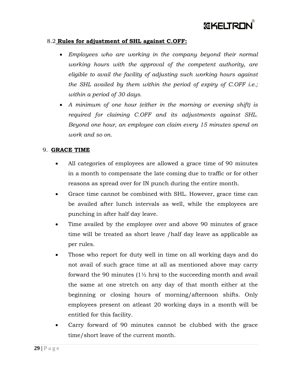

# 8.2 **Rules for adjustment of SHL against C.OFF:**

- *Employees who are working in the company beyond their normal working hours with the approval of the competent authority, are eligible to avail the facility of adjusting such working hours against the SHL availed by them within the period of expiry of C.OFF i.e.; within a period of 30 days.*
- *A minimum of one hour (either in the morning or evening shift) is required for claiming C.OFF and its adjustments against SHL. Beyond one hour, an employee can claim every 15 minutes spend on work and so on.*

# 9. **GRACE TIME**

- All categories of employees are allowed a grace time of 90 minutes in a month to compensate the late coming due to traffic or for other reasons as spread over for IN punch during the entire month.
- Grace time cannot be combined with SHL. However, grace time can be availed after lunch intervals as well, while the employees are punching in after half day leave.
- Time availed by the employee over and above 90 minutes of grace time will be treated as short leave /half day leave as applicable as per rules.
- Those who report for duty well in time on all working days and do not avail of such grace time at all as mentioned above may carry forward the 90 minutes  $(1\frac{1}{2}$  hrs) to the succeeding month and avail the same at one stretch on any day of that month either at the beginning or closing hours of morning/afternoon shifts. Only employees present on atleast 20 working days in a month will be entitled for this facility.
- Carry forward of 90 minutes cannot be clubbed with the grace time/short leave of the current month.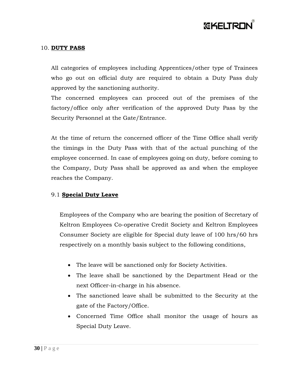

### 10. **DUTY PASS**

All categories of employees including Apprentices/other type of Trainees who go out on official duty are required to obtain a Duty Pass duly approved by the sanctioning authority.

The concerned employees can proceed out of the premises of the factory/office only after verification of the approved Duty Pass by the Security Personnel at the Gate/Entrance.

At the time of return the concerned officer of the Time Office shall verify the timings in the Duty Pass with that of the actual punching of the employee concerned. In case of employees going on duty, before coming to the Company, Duty Pass shall be approved as and when the employee reaches the Company.

#### 9.1 **Special Duty Leave**

Employees of the Company who are bearing the position of Secretary of Keltron Employees Co-operative Credit Society and Keltron Employees Consumer Society are eligible for Special duty leave of 100 hrs/60 hrs respectively on a monthly basis subject to the following conditions,

- The leave will be sanctioned only for Society Activities.
- The leave shall be sanctioned by the Department Head or the next Officer-in-charge in his absence.
- The sanctioned leave shall be submitted to the Security at the gate of the Factory/Office.
- Concerned Time Office shall monitor the usage of hours as Special Duty Leave.